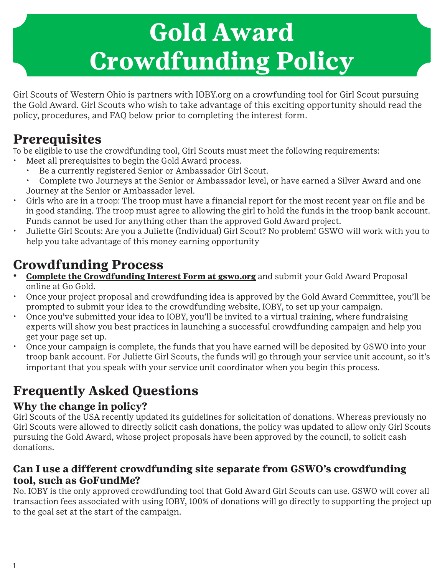# **Gold Award Crowdfunding Policy**

Girl Scouts of Western Ohio is partners with IOBY.org on a crowfunding tool for Girl Scout pursuing the Gold Award. Girl Scouts who wish to take advantage of this exciting opportunity should read the policy, procedures, and FAQ below prior to completing the interest form.

# **Prerequisites**

To be eligible to use the crowdfunding tool, Girl Scouts must meet the following requirements:

- Meet all prerequisites to begin the Gold Award process.
	- Be a currently registered Senior or Ambassador Girl Scout.
	- Complete two Journeys at the Senior or Ambassador level, or have earned a Silver Award and one Journey at the Senior or Ambassador level.
- Girls who are in a troop: The troop must have a financial report for the most recent year on file and be in good standing. The troop must agree to allowing the girl to hold the funds in the troop bank account. Funds cannot be used for anything other than the approved Gold Award project.
- Juliette Girl Scouts: Are you a Juliette (Individual) Girl Scout? No problem! GSWO will work with you to help you take advantage of this money earning opportunity

# **Crowdfunding Process**

- **• Complete the Crowdfunding Interest Form at gswo.org** and submit your Gold Award Proposal online at Go Gold.
- Once your project proposal and crowdfunding idea is approved by the Gold Award Committee, you'll be prompted to submit your idea to the crowdfunding website, IOBY, to set up your campaign.
- Once you've submitted your idea to IOBY, you'll be invited to a virtual training, where fundraising experts will show you best practices in launching a successful crowdfunding campaign and help you get your page set up.
- Once your campaign is complete, the funds that you have earned will be deposited by GSWO into your troop bank account. For Juliette Girl Scouts, the funds will go through your service unit account, so it's important that you speak with your service unit coordinator when you begin this process.

# **Frequently Asked Questions**

## **Why the change in policy?**

Girl Scouts of the USA recently updated its guidelines for solicitation of donations. Whereas previously no Girl Scouts were allowed to directly solicit cash donations, the policy was updated to allow only Girl Scouts pursuing the Gold Award, whose project proposals have been approved by the council, to solicit cash donations.

## **Can I use a different crowdfunding site separate from GSWO's crowdfunding tool, such as GoFundMe?**

No. IOBY is the only approved crowdfunding tool that Gold Award Girl Scouts can use. GSWO will cover all transaction fees associated with using IOBY, 100% of donations will go directly to supporting the project up to the goal set at the start of the campaign.